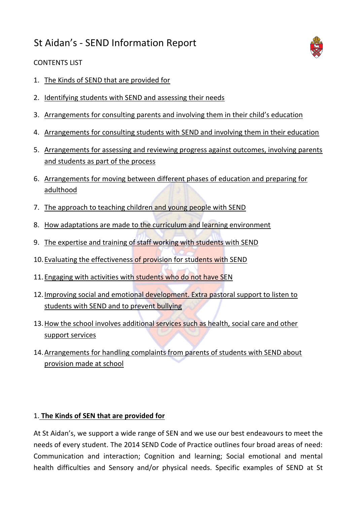# St Aidan's - SEND Information Report



#### CONTENTS LIST

- 1. The Kinds of SEND that are provided for
- 2. Identifying students with SEND and assessing their needs
- 3. Arrangements for consulting parents and involving them in their child's education
- 4. Arrangements for consulting students with SEND and involving them in their education
- 5. Arrangements for assessing and reviewing progress against outcomes, involving parents and students as part of the process
- 6. Arrangements for moving between different phases of education and preparing for adulthood
- 7. The approach to teaching children and young people with SEND
- 8. How adaptations are made to the curriculum and learning environment
- 9. The expertise and training of staff working with students with SEND
- 10. Evaluating the effectiveness of provision for students with SEND
- 11. Engaging with activities with students who do not have SEN
- 12. Improving social and emotional development. Extra pastoral support to listen to students with SEND and to prevent bullying
- 13. How the school involves additional services such as health, social care and other support services
- 14.Arrangements for handling complaints from parents of students with SEND about provision made at school

#### 1. **The Kinds of SEN that are provided for**

At St Aidan's, we support a wide range of SEN and we use our best endeavours to meet the needs of every student. The 2014 SEND Code of Practice outlines four broad areas of need: Communication and interaction; Cognition and learning; Social emotional and mental health difficulties and Sensory and/or physical needs. Specific examples of SEND at St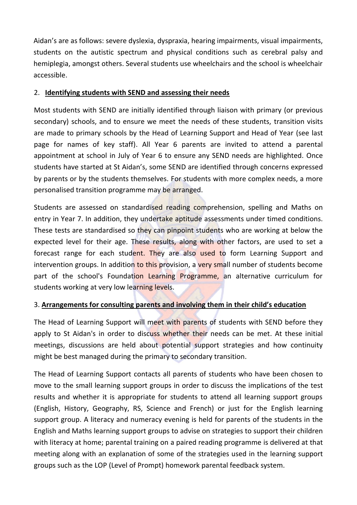Aidan's are as follows: severe dyslexia, dyspraxia, hearing impairments, visual impairments, students on the autistic spectrum and physical conditions such as cerebral palsy and hemiplegia, amongst others. Several students use wheelchairs and the school is wheelchair accessible.

#### 2. **Identifying students with SEND and assessing their needs**

Most students with SEND are initially identified through liaison with primary (or previous secondary) schools, and to ensure we meet the needs of these students, transition visits are made to primary schools by the Head of Learning Support and Head of Year (see last page for names of key staff). All Year 6 parents are invited to attend a parental appointment at school in July of Year 6 to ensure any SEND needs are highlighted. Once students have started at St Aidan's, some SEND are identified through concerns expressed by parents or by the students themselves. For students with more complex needs, a more personalised transition programme may be arranged.

Students are assessed on standardised reading comprehension, spelling and Maths on entry in Year 7. In addition, they undertake aptitude assessments under timed conditions. These tests are standardised so they can pinpoint students who are working at below the expected level for their age. These results, along with other factors, are used to set a forecast range for each student. They are also used to form Learning Support and intervention groups. In addition to this provision, a very small number of students become part of the school's Foundation Learning Programme, an alternative curriculum for students working at very low learning levels.

### 3. **Arrangements for consulting parents and involving them in their child's education**

The Head of Learning Support will meet with parents of students with SEND before they apply to St Aidan's in order to discuss whether their needs can be met. At these initial meetings, discussions are held about potential support strategies and how continuity might be best managed during the primary to secondary transition.

The Head of Learning Support contacts all parents of students who have been chosen to move to the small learning support groups in order to discuss the implications of the test results and whether it is appropriate for students to attend all learning support groups (English, History, Geography, RS, Science and French) or just for the English learning support group. A literacy and numeracy evening is held for parents of the students in the English and Maths learning support groups to advise on strategies to support their children with literacy at home; parental training on a paired reading programme is delivered at that meeting along with an explanation of some of the strategies used in the learning support groups such as the LOP (Level of Prompt) homework parental feedback system.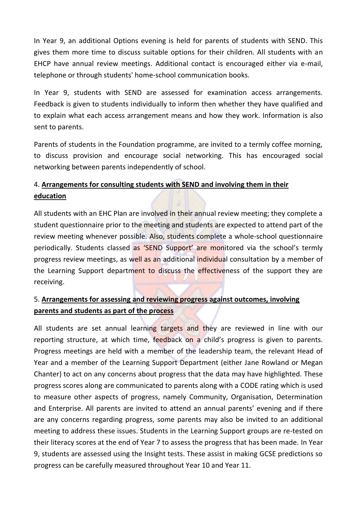In Year 9, an additional Options evening is held for parents of students with SEND. This gives them more time to discuss suitable options for their children. All students with an EHCP have annual review meetings. Additional contact is encouraged either via e-mail, telephone or through students' home-school communication books.

In Year 9, students with SEND are assessed for examination access arrangements. Feedback is given to students individually to inform then whether they have qualified and to explain what each access arrangement means and how they work. Information is also sent to parents.

Parents of students in the Foundation programme, are invited to a termly coffee morning, to discuss provision and encourage social networking. This has encouraged social networking between parents independently of school.

# 4. **Arrangements for consulting students with SEND and involving them in their education**

All students with an EHC Plan are involved in their annual review meeting; they complete a student questionnaire prior to the meeting and students are expected to attend part of the review meeting whenever possible. Also, students complete a whole-school questionnaire periodically. Students classed as 'SEND Support' are monitored via the school's termly progress review meetings, as well as an additional individual consultation by a member of the Learning Support department to discuss the effectiveness of the support they are receiving.

### 5. **Arrangements for assessing and reviewing progress against outcomes, involving parents and students as part of the process**

All students are set annual learning targets and they are reviewed in line with our reporting structure, at which time, feedback on a child's progress is given to parents. Progress meetings are held with a member of the leadership team, the relevant Head of Year and a member of the Learning Support Department (either Jane Rowland or Megan Chanter) to act on any concerns about progress that the data may have highlighted. These progress scores along are communicated to parents along with a CODE rating which is used to measure other aspects of progress, namely Community, Organisation, Determination and Enterprise. All parents are invited to attend an annual parents' evening and if there are any concerns regarding progress, some parents may also be invited to an additional meeting to address these issues. Students in the Learning Support groups are re-tested on their literacy scores at the end of Year 7 to assess the progress that has been made. In Year 9, students are assessed using the Insight tests. These assist in making GCSE predictions so progress can be carefully measured throughout Year 10 and Year 11.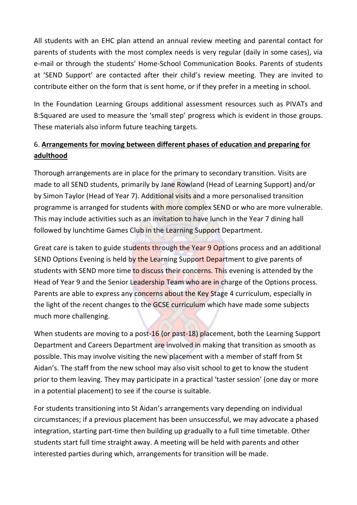All students with an EHC plan attend an annual review meeting and parental contact for parents of students with the most complex needs is very regular (daily in some cases), via e-mail or through the students' Home-School Communication Books. Parents of students at 'SEND Support' are contacted after their child's review meeting. They are invited to contribute either on the form that is sent home, or if they prefer in a meeting in school.

In the Foundation Learning Groups additional assessment resources such as PIVATs and B:Squared are used to measure the 'small step' progress which is evident in those groups. These materials also inform future teaching targets.

# 6. **Arrangements for moving between different phases of education and preparing for adulthood**

Thorough arrangements are in place for the primary to secondary transition. Visits are made to all SEND students, primarily by Jane Rowland (Head of Learning Support) and/or by Simon Taylor (Head of Year 7). Additional visits and a more personalised transition programme is arranged for students with more complex SEND or who are more vulnerable. This may include activities such as an invitation to have lunch in the Year 7 dining hall followed by lunchtime Games Club in the Learning Support Department.

Great care is taken to guide students through the Year 9 Options process and an additional SEND Options Evening is held by the Learning Support Department to give parents of students with SEND more time to discuss their concerns. This evening is attended by the Head of Year 9 and the Senior Leadership Team who are in charge of the Options process. Parents are able to express any concerns about the Key Stage 4 curriculum, especially in the light of the recent changes to the GCSE curriculum which have made some subjects much more challenging.

When students are moving to a post-16 (or past-18) placement, both the Learning Support Department and Careers Department are involved in making that transition as smooth as possible. This may involve visiting the new placement with a member of staff from St Aidan's. The staff from the new school may also visit school to get to know the student prior to them leaving. They may participate in a practical 'taster session' (one day or more in a potential placement) to see if the course is suitable.

For students transitioning into St Aidan's arrangements vary depending on individual circumstances; if a previous placement has been unsuccessful, we may advocate a phased integration, starting part-time then building up gradually to a full time timetable. Other students start full time straight away. A meeting will be held with parents and other interested parties during which, arrangements for transition will be made.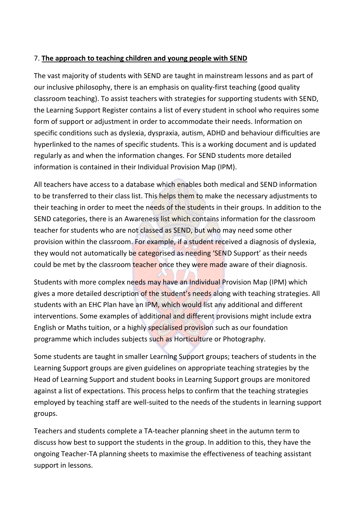### 7. **The approach to teaching children and young people with SEND**

The vast majority of students with SEND are taught in mainstream lessons and as part of our inclusive philosophy, there is an emphasis on quality-first teaching (good quality classroom teaching). To assist teachers with strategies for supporting students with SEND, the Learning Support Register contains a list of every student in school who requires some form of support or adjustment in order to accommodate their needs. Information on specific conditions such as dyslexia, dyspraxia, autism, ADHD and behaviour difficulties are hyperlinked to the names of specific students. This is a working document and is updated regularly as and when the information changes. For SEND students more detailed information is contained in their Individual Provision Map (IPM).

All teachers have access to a database which enables both medical and SEND information to be transferred to their class list. This helps them to make the necessary adjustments to their teaching in order to meet the needs of the students in their groups. In addition to the SEND categories, there is an Awareness list which contains information for the classroom teacher for students who are not classed as SEND, but who may need some other provision within the classroom. For example, if a student received a diagnosis of dyslexia, they would not automatically be categorised as needing 'SEND Support' as their needs could be met by the classroom teacher once they were made aware of their diagnosis.

Students with more complex needs may have an Individual Provision Map (IPM) which gives a more detailed description of the student's needs along with teaching strategies. All students with an EHC Plan have an IPM, which would list any additional and different interventions. Some examples of additional and different provisions might include extra English or Maths tuition, or a highly specialised provision such as our foundation programme which includes subjects such as Horticulture or Photography.

Some students are taught in smaller Learning Support groups; teachers of students in the Learning Support groups are given guidelines on appropriate teaching strategies by the Head of Learning Support and student books in Learning Support groups are monitored against a list of expectations. This process helps to confirm that the teaching strategies employed by teaching staff are well-suited to the needs of the students in learning support groups.

Teachers and students complete a TA-teacher planning sheet in the autumn term to discuss how best to support the students in the group. In addition to this, they have the ongoing Teacher-TA planning sheets to maximise the effectiveness of teaching assistant support in lessons.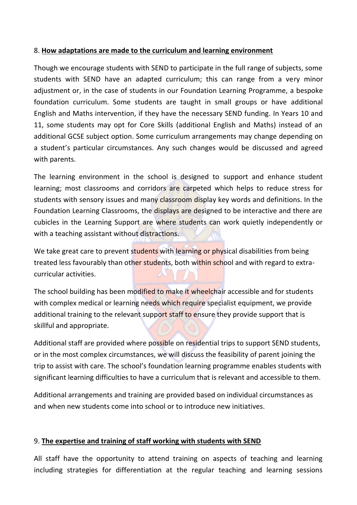#### 8. **How adaptations are made to the curriculum and learning environment**

Though we encourage students with SEND to participate in the full range of subjects, some students with SEND have an adapted curriculum; this can range from a very minor adjustment or, in the case of students in our Foundation Learning Programme, a bespoke foundation curriculum. Some students are taught in small groups or have additional English and Maths intervention, if they have the necessary SEND funding. In Years 10 and 11, some students may opt for Core Skills (additional English and Maths) instead of an additional GCSE subject option. Some curriculum arrangements may change depending on a student's particular circumstances. Any such changes would be discussed and agreed with parents.

The learning environment in the school is designed to support and enhance student learning; most classrooms and corridors are carpeted which helps to reduce stress for students with sensory issues and many classroom display key words and definitions. In the Foundation Learning Classrooms, the displays are designed to be interactive and there are cubicles in the Learning Support are where students can work quietly independently or with a teaching assistant without distractions.

We take great care to prevent students with learning or physical disabilities from being treated less favourably than other students, both within school and with regard to extracurricular activities.

The school building has been modified to make it wheelchair accessible and for students with complex medical or learning needs which require specialist equipment, we provide additional training to the relevant support staff to ensure they provide support that is skillful and appropriate.

Additional staff are provided where possible on residential trips to support SEND students, or in the most complex circumstances, we will discuss the feasibility of parent joining the trip to assist with care. The school's foundation learning programme enables students with significant learning difficulties to have a curriculum that is relevant and accessible to them.

Additional arrangements and training are provided based on individual circumstances as and when new students come into school or to introduce new initiatives.

#### 9. **The expertise and training of staff working with students with SEND**

All staff have the opportunity to attend training on aspects of teaching and learning including strategies for differentiation at the regular teaching and learning sessions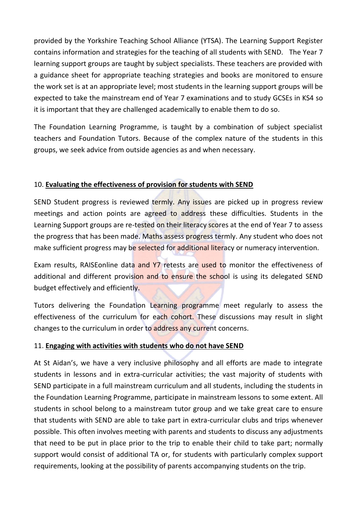provided by the Yorkshire Teaching School Alliance (YTSA). The Learning Support Register contains information and strategies for the teaching of all students with SEND. The Year 7 learning support groups are taught by subject specialists. These teachers are provided with a guidance sheet for appropriate teaching strategies and books are monitored to ensure the work set is at an appropriate level; most students in the learning support groups will be expected to take the mainstream end of Year 7 examinations and to study GCSEs in KS4 so it is important that they are challenged academically to enable them to do so.

The Foundation Learning Programme, is taught by a combination of subject specialist teachers and Foundation Tutors. Because of the complex nature of the students in this groups, we seek advice from outside agencies as and when necessary.

### 10. **Evaluating the effectiveness of provision for students with SEND**

SEND Student progress is reviewed termly. Any issues are picked up in progress review meetings and action points are agreed to address these difficulties. Students in the Learning Support groups are re-tested on their literacy scores at the end of Year 7 to assess the progress that has been made. Maths assess progress termly. Any student who does not make sufficient progress may be selected for additional literacy or numeracy intervention.

Exam results, RAISEonline data and Y7 retests are used to monitor the effectiveness of additional and different provision and to ensure the school is using its delegated SEND budget effectively and efficiently.

Tutors delivering the Foundation Learning programme meet regularly to assess the effectiveness of the curriculum for each cohort. These discussions may result in slight changes to the curriculum in order to address any current concerns.

### 11. **Engaging with activities with students who do not have SEND**

At St Aidan's, we have a very inclusive philosophy and all efforts are made to integrate students in lessons and in extra-curricular activities; the vast majority of students with SEND participate in a full mainstream curriculum and all students, including the students in the Foundation Learning Programme, participate in mainstream lessons to some extent. All students in school belong to a mainstream tutor group and we take great care to ensure that students with SEND are able to take part in extra-curricular clubs and trips whenever possible. This often involves meeting with parents and students to discuss any adjustments that need to be put in place prior to the trip to enable their child to take part; normally support would consist of additional TA or, for students with particularly complex support requirements, looking at the possibility of parents accompanying students on the trip.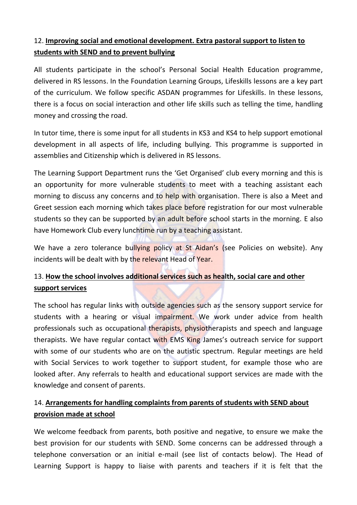# 12. **Improving social and emotional development. Extra pastoral support to listen to students with SEND and to prevent bullying**

All students participate in the school's Personal Social Health Education programme, delivered in RS lessons. In the Foundation Learning Groups, Lifeskills lessons are a key part of the curriculum. We follow specific ASDAN programmes for Lifeskills. In these lessons, there is a focus on social interaction and other life skills such as telling the time, handling money and crossing the road.

In tutor time, there is some input for all students in KS3 and KS4 to help support emotional development in all aspects of life, including bullying. This programme is supported in assemblies and Citizenship which is delivered in RS lessons.

The Learning Support Department runs the 'Get Organised' club every morning and this is an opportunity for more vulnerable students to meet with a teaching assistant each morning to discuss any concerns and to help with organisation. There is also a Meet and Greet session each morning which takes place before registration for our most vulnerable students so they can be supported by an adult before school starts in the morning. E also have Homework Club every lunchtime run by a teaching assistant.

We have a zero tolerance bullying policy at St Aidan's (see Policies on website). Any incidents will be dealt with by the relevant Head of Year.

# 13. **How the school involves additional services such as health, social care and other support services**

The school has regular links with outside agencies such as the sensory support service for students with a hearing or visual impairment. We work under advice from health professionals such as occupational therapists, physiotherapists and speech and language therapists. We have regular contact with EMS King James's outreach service for support with some of our students who are on the autistic spectrum. Regular meetings are held with Social Services to work together to support student, for example those who are looked after. Any referrals to health and educational support services are made with the knowledge and consent of parents.

# 14. **Arrangements for handling complaints from parents of students with SEND about provision made at school**

We welcome feedback from parents, both positive and negative, to ensure we make the best provision for our students with SEND. Some concerns can be addressed through a telephone conversation or an initial e-mail (see list of contacts below). The Head of Learning Support is happy to liaise with parents and teachers if it is felt that the